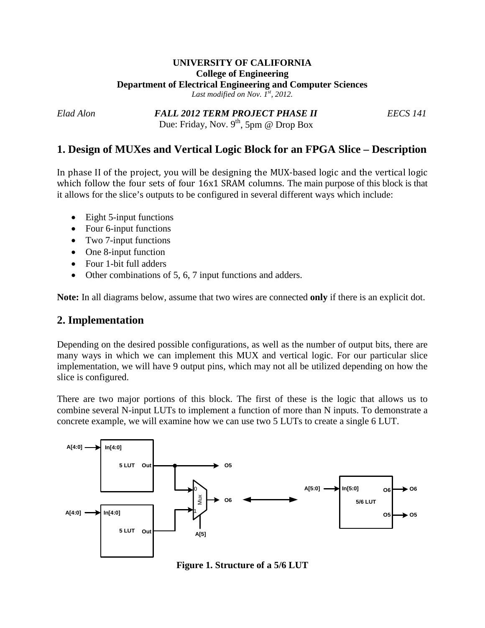#### **UNIVERSITY OF CALIFORNIA College of Engineering Department of Electrical Engineering and Computer Sciences** *Last modified on Nov. 1st, 2012.*

*Elad Alon FALL 2012 TERM PROJECT PHASE II EECS 141* Due: Friday, Nov.  $9^{th}$ , 5pm @ Drop Box

## **1. Design of MUXes and Vertical Logic Block for an FPGA Slice – Description**

In phase II of the project, you will be designing the MUX-based logic and the vertical logic which follow the four sets of four 16x1 SRAM columns. The main purpose of this block is that it allows for the slice's outputs to be configured in several different ways which include:

- Eight 5-input functions
- Four 6-input functions
- Two 7-input functions
- One 8-input function
- Four 1-bit full adders
- Other combinations of 5, 6, 7 input functions and adders.

**Note:** In all diagrams below, assume that two wires are connected **only** if there is an explicit dot.

### **2. Implementation**

Depending on the desired possible configurations, as well as the number of output bits, there are many ways in which we can implement this MUX and vertical logic. For our particular slice implementation, we will have 9 output pins, which may not all be utilized depending on how the slice is configured.

There are two major portions of this block. The first of these is the logic that allows us to combine several N-input LUTs to implement a function of more than N inputs. To demonstrate a concrete example, we will examine how we can use two 5 LUTs to create a single 6 LUT.



**Figure 1. Structure of a 5/6 LUT**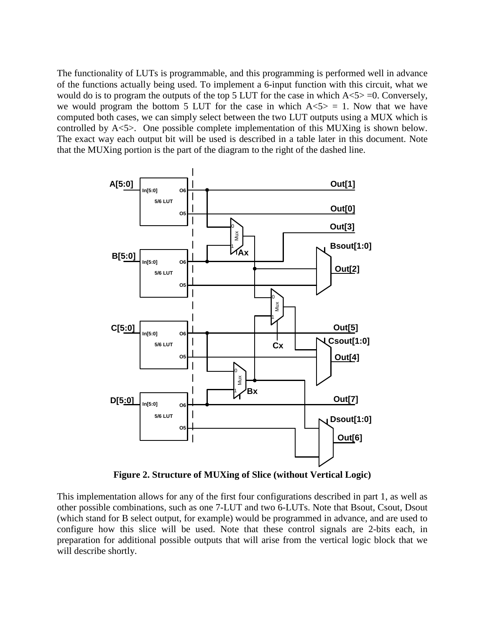The functionality of LUTs is programmable, and this programming is performed well in advance of the functions actually being used. To implement a 6-input function with this circuit, what we would do is to program the outputs of the top 5 LUT for the case in which  $A \le 5$  =0. Conversely, we would program the bottom 5 LUT for the case in which  $A<5> = 1$ . Now that we have computed both cases, we can simply select between the two LUT outputs using a MUX which is controlled by A<5>. One possible complete implementation of this MUXing is shown below. The exact way each output bit will be used is described in a table later in this document. Note that the MUXing portion is the part of the diagram to the right of the dashed line.



**Figure 2. Structure of MUXing of Slice (without Vertical Logic)**

This implementation allows for any of the first four configurations described in part 1, as well as other possible combinations, such as one 7-LUT and two 6-LUTs. Note that Bsout, Csout, Dsout (which stand for B select output, for example) would be programmed in advance, and are used to configure how this slice will be used. Note that these control signals are 2-bits each, in preparation for additional possible outputs that will arise from the vertical logic block that we will describe shortly.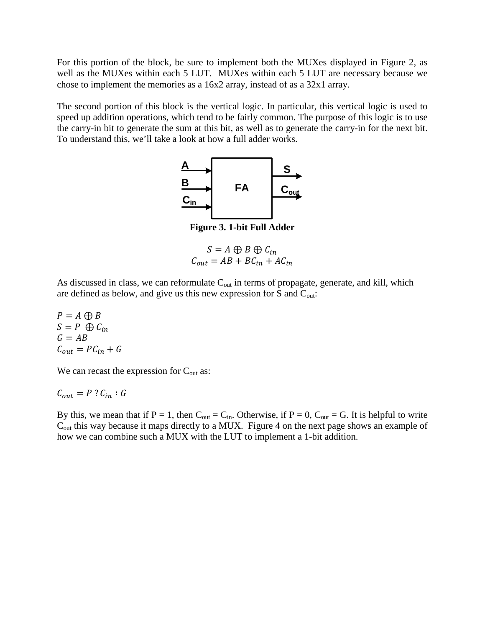For this portion of the block, be sure to implement both the MUXes displayed in Figure 2, as well as the MUXes within each 5 LUT. MUXes within each 5 LUT are necessary because we chose to implement the memories as a 16x2 array, instead of as a 32x1 array.

The second portion of this block is the vertical logic. In particular, this vertical logic is used to speed up addition operations, which tend to be fairly common. The purpose of this logic is to use the carry-in bit to generate the sum at this bit, as well as to generate the carry-in for the next bit. To understand this, we'll take a look at how a full adder works.



**Figure 3. 1-bit Full Adder**

 $S = A \oplus B \oplus C_{in}$  $C_{out} = AB + BC_{in} + AC_{in}$ 

As discussed in class, we can reformulate  $C_{out}$  in terms of propagate, generate, and kill, which are defined as below, and give us this new expression for S and  $C_{out}$ :

 $P = A \bigoplus B$  $S = P \oplus C_{in}$  $G = AB$  $C_{out} = PC_{in} + G$ 

We can recast the expression for  $C_{\text{out}}$  as:

$$
\mathcal{C}_{out} = P \mathbin{?} \mathcal{C}_{in} : G
$$

By this, we mean that if  $P = 1$ , then  $C_{out} = C_{in}$ . Otherwise, if  $P = 0$ ,  $C_{out} = G$ . It is helpful to write Cout this way because it maps directly to a MUX. Figure 4 on the next page shows an example of how we can combine such a MUX with the LUT to implement a 1-bit addition.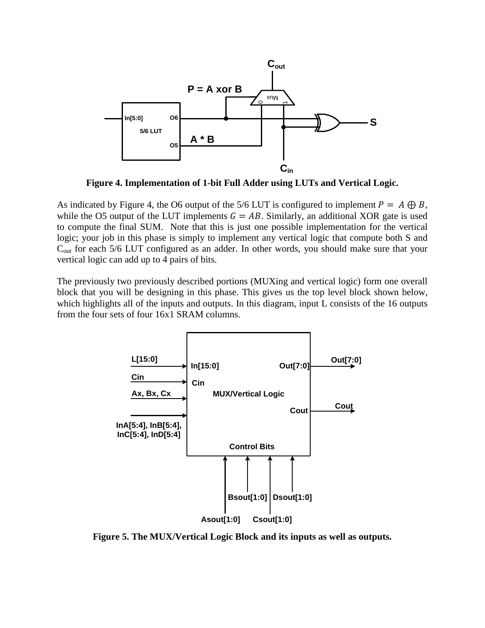

**Figure 4. Implementation of 1-bit Full Adder using LUTs and Vertical Logic.**

As indicated by Figure 4, the O6 output of the 5/6 LUT is configured to implement  $P = A \bigoplus B$ , while the O5 output of the LUT implements  $G = AB$ . Similarly, an additional XOR gate is used to compute the final SUM. Note that this is just one possible implementation for the vertical logic; your job in this phase is simply to implement any vertical logic that compute both S and C<sub>out</sub> for each 5/6 LUT configured as an adder. In other words, you should make sure that your vertical logic can add up to 4 pairs of bits.

The previously two previously described portions (MUXing and vertical logic) form one overall block that you will be designing in this phase. This gives us the top level block shown below, which highlights all of the inputs and outputs. In this diagram, input L consists of the 16 outputs from the four sets of four 16x1 SRAM columns.



**Figure 5. The MUX/Vertical Logic Block and its inputs as well as outputs.**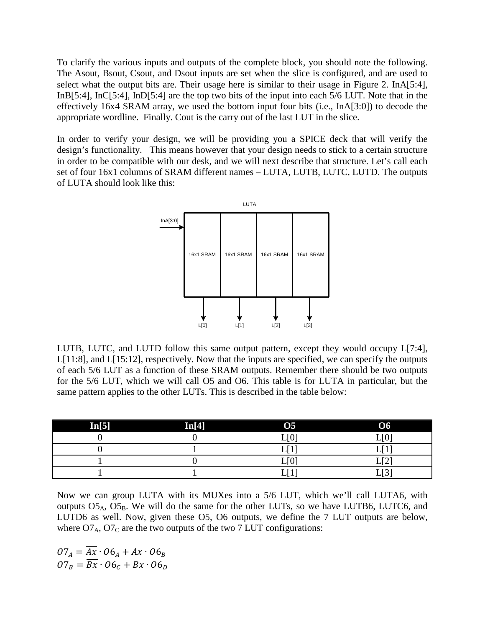To clarify the various inputs and outputs of the complete block, you should note the following. The Asout, Bsout, Csout, and Dsout inputs are set when the slice is configured, and are used to select what the output bits are. Their usage here is similar to their usage in Figure 2. InA[5:4], InB[5:4], InC[5:4], InD[5:4] are the top two bits of the input into each 5/6 LUT. Note that in the effectively 16x4 SRAM array, we used the bottom input four bits (i.e., InA[3:0]) to decode the appropriate wordline. Finally. Cout is the carry out of the last LUT in the slice.

In order to verify your design, we will be providing you a SPICE deck that will verify the design's functionality. This means however that your design needs to stick to a certain structure in order to be compatible with our desk, and we will next describe that structure. Let's call each set of four 16x1 columns of SRAM different names – LUTA, LUTB, LUTC, LUTD. The outputs of LUTA should look like this:



LUTB, LUTC, and LUTD follow this same output pattern, except they would occupy L[7:4], L[11:8], and L[15:12], respectively. Now that the inputs are specified, we can specify the outputs of each 5/6 LUT as a function of these SRAM outputs. Remember there should be two outputs for the 5/6 LUT, which we will call O5 and O6. This table is for LUTA in particular, but the same pattern applies to the other LUTs. This is described in the table below:

| In[5] | In[4] | <b>O5</b>                   | <b>O6</b>           |
|-------|-------|-----------------------------|---------------------|
|       |       | $\Gamma$ $\Omega$<br>v<br>∸ | $F \wedge T$        |
|       |       | ma m                        |                     |
|       |       | $\Gamma$ $\cap$<br>v<br>∸   | <b>FAT</b><br>-     |
|       |       | <u>. </u>                   | $F \wedge T$<br>اسد |

Now we can group LUTA with its MUXes into a 5/6 LUT, which we'll call LUTA6, with outputs  $O5_A$ ,  $O5_B$ . We will do the same for the other LUTs, so we have LUTB6, LUTC6, and LUTD6 as well. Now, given these O5, O6 outputs, we define the 7 LUT outputs are below, where  $O7_A$ ,  $O7_C$  are the two outputs of the two 7 LUT configurations:

 $O7_A = \overline{Ax} \cdot O6_A + Ax \cdot O6_B$  $07_B = \overline{Bx} \cdot 06_C + Bx \cdot 06_D$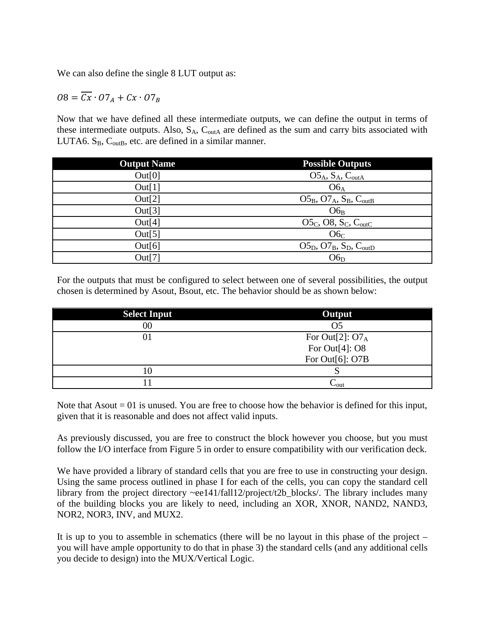We can also define the single 8 LUT output as:

$$
O8 = \overline{Cx} \cdot O7_A + Cx \cdot O7_B
$$

Now that we have defined all these intermediate outputs, we can define the output in terms of these intermediate outputs. Also,  $S_A$ ,  $C_{\text{outA}}$  are defined as the sum and carry bits associated with LUTA6.  $S_B$ ,  $C_{\text{outB}}$ , etc. are defined in a similar manner.

| <b>Output Name</b> | <b>Possible Outputs</b>                |
|--------------------|----------------------------------------|
| Out[0]             | $O5_A$ , $S_A$ , $C_{outA}$            |
| Out[1]             | $O6_A$                                 |
| Out[2]             | $O5_B$ , $O7_A$ , $S_B$ , $C_{outB}$   |
| Out[3]             | $O6_B$                                 |
| Out[4]             | $O5_c$ , O8, $S_c$ , C <sub>outC</sub> |
| Out[5]             | O6 <sub>C</sub>                        |
| Out[6]             | $O5_D$ , $O7_B$ , $S_D$ , $C_{outD}$   |
| Out[7]             | 06 <sub>D</sub>                        |
|                    |                                        |

For the outputs that must be configured to select between one of several possibilities, the output chosen is determined by Asout, Bsout, etc. The behavior should be as shown below:

| <b>Select Input</b> | Output             |
|---------------------|--------------------|
| $00\,$              | O <sub>5</sub>     |
| 01                  | For Out[2]: $O7_A$ |
|                     | For Out $[4]$ : O8 |
|                     | For Out[6]: O7B    |
| 10                  |                    |
|                     | $\sim$ out         |

Note that  $A$ sout  $= 01$  is unused. You are free to choose how the behavior is defined for this input, given that it is reasonable and does not affect valid inputs.

As previously discussed, you are free to construct the block however you choose, but you must follow the I/O interface from Figure 5 in order to ensure compatibility with our verification deck.

We have provided a library of standard cells that you are free to use in constructing your design. Using the same process outlined in phase I for each of the cells, you can copy the standard cell library from the project directory ~ee141/fall12/project/t2b\_blocks/. The library includes many of the building blocks you are likely to need, including an XOR, XNOR, NAND2, NAND3, NOR2, NOR3, INV, and MUX2.

It is up to you to assemble in schematics (there will be no layout in this phase of the project – you will have ample opportunity to do that in phase 3) the standard cells (and any additional cells you decide to design) into the MUX/Vertical Logic.